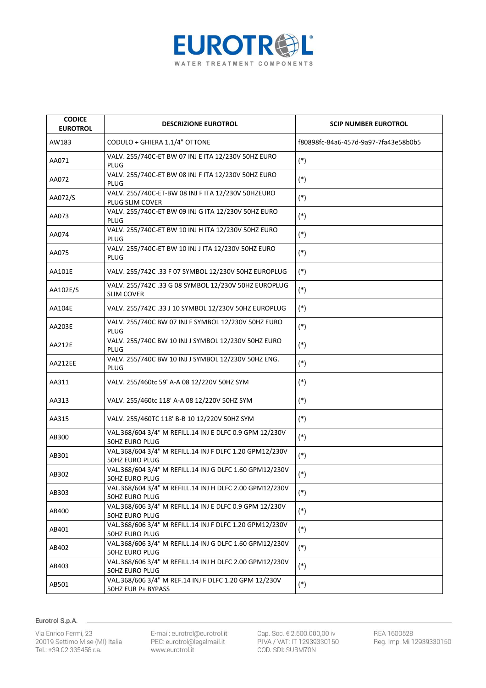

| <b>CODICE</b><br><b>EUROTROL</b> | <b>DESCRIZIONE EUROTROL</b>                                                      | <b>SCIP NUMBER EUROTROL</b>          |
|----------------------------------|----------------------------------------------------------------------------------|--------------------------------------|
| AW183                            | CODULO + GHIERA 1.1/4" OTTONE                                                    | f80898fc-84a6-457d-9a97-7fa43e58b0b5 |
| AA071                            | VALV. 255/740C-ET BW 07 INJ E ITA 12/230V 50HZ EURO<br>PLUG                      | $(*)$                                |
| AA072                            | VALV. 255/740C-ET BW 08 INJ F ITA 12/230V 50HZ EURO<br>PLUG                      | $(*)$                                |
| AA072/S                          | VALV. 255/740C-ET-BW 08 INJ F ITA 12/230V 50HZEURO<br>PLUG SLIM COVER            | $(*)$                                |
| AA073                            | VALV. 255/740C-ET BW 09 INJ G ITA 12/230V 50HZ EURO<br>PLUG                      | $(*)$                                |
| AA074                            | VALV. 255/740C-ET BW 10 INJ H ITA 12/230V 50HZ EURO<br>PLUG                      | $(*)$                                |
| AA075                            | VALV. 255/740C-ET BW 10 INJ J ITA 12/230V 50HZ EURO<br><b>PLUG</b>               | $(*)$                                |
| AA101E                           | VALV. 255/742C .33 F 07 SYMBOL 12/230V 50HZ EUROPLUG                             | $(*)$                                |
| AA102E/S                         | VALV. 255/742C .33 G 08 SYMBOL 12/230V 50HZ EUROPLUG<br><b>SLIM COVER</b>        | $(*)$                                |
| <b>AA104E</b>                    | VALV. 255/742C .33 J 10 SYMBOL 12/230V 50HZ EUROPLUG                             | $(*)$                                |
| AA203E                           | VALV. 255/740C BW 07 INJ F SYMBOL 12/230V 50HZ EURO<br>PLUG                      | $(*)$                                |
| AA212E                           | VALV. 255/740C BW 10 INJ J SYMBOL 12/230V 50HZ EURO<br>PLUG                      | $(*)$                                |
| AA212EE                          | VALV. 255/740C BW 10 INJ J SYMBOL 12/230V 50HZ ENG.<br>PLUG                      | $(*)$                                |
| AA311                            | VALV. 255/460tc 59' A-A 08 12/220V 50HZ SYM                                      | $(*)$                                |
| AA313                            | VALV. 255/460tc 118' A-A 08 12/220V 50HZ SYM                                     | $(*)$                                |
| AA315                            | VALV. 255/460TC 118' B-B 10 12/220V 50HZ SYM                                     | $(*)$                                |
| AB300                            | VAL.368/604 3/4" M REFILL.14 INJ E DLFC 0.9 GPM 12/230V<br><b>50HZ EURO PLUG</b> | $(*)$                                |
| AB301                            | VAL.368/604 3/4" M REFILL.14 INJ F DLFC 1.20 GPM12/230V<br>50HZ EURO PLUG        | $(*)$                                |
| AB302                            | VAL.368/604 3/4" M REFILL.14 INJ G DLFC 1.60 GPM12/230V<br>50HZ EURO PLUG        | $(\ast)$                             |
| AB303                            | VAL.368/604 3/4" M REFILL.14 INJ H DLFC 2.00 GPM12/230V<br>50HZ EURO PLUG        | $(*)$                                |
| AB400                            | VAL.368/606 3/4" M REFILL.14 INJ E DLFC 0.9 GPM 12/230V<br><b>50HZ EURO PLUG</b> | $(*)$                                |
| AB401                            | VAL.368/606 3/4" M REFILL.14 INJ F DLFC 1.20 GPM12/230V<br>50HZ EURO PLUG        | $(\ast)$                             |
| AB402                            | VAL.368/606 3/4" M REFILL.14 INJ G DLFC 1.60 GPM12/230V<br>50HZ EURO PLUG        | $(\ast)$                             |
| AB403                            | VAL.368/606 3/4" M REFILL.14 INJ H DLFC 2.00 GPM12/230V<br>50HZ EURO PLUG        | $(*)$                                |
| AB501                            | VAL.368/606 3/4" M REF.14 INJ F DLFC 1.20 GPM 12/230V<br>50HZ EUR P+ BYPASS      | $(*)$                                |

Via Enrico Fermi, 23 20019 Settimo M.se (MI) Italia Tel.: +39 02 335458 r.a.

E-mail: eurotrol@eurotrol.it<br>PEC: eurotrol@legalmail.it www.eurotrol.it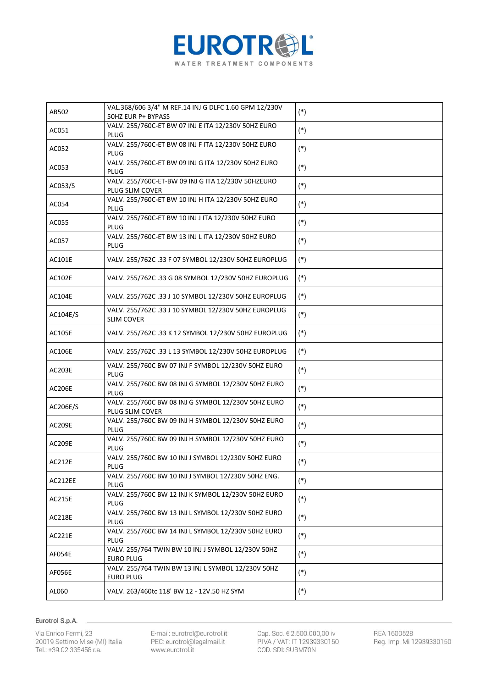

| AB502         | VAL.368/606 3/4" M REF.14 INJ G DLFC 1.60 GPM 12/230V<br>50HZ EUR P+ BYPASS | $(*)$ |
|---------------|-----------------------------------------------------------------------------|-------|
| AC051         | VALV. 255/760C-ET BW 07 INJ E ITA 12/230V 50HZ EURO<br>PLUG                 | $(*)$ |
| AC052         | VALV. 255/760C-ET BW 08 INJ F ITA 12/230V 50HZ EURO<br>PLUG                 | $(*)$ |
| AC053         | VALV. 255/760C-ET BW 09 INJ G ITA 12/230V 50HZ EURO<br>PLUG                 | $(*)$ |
| AC053/S       | VALV. 255/760C-ET-BW 09 INJ G ITA 12/230V 50HZEURO<br>PLUG SLIM COVER       | $(*)$ |
| AC054         | VALV. 255/760C-ET BW 10 INJ H ITA 12/230V 50HZ EURO<br>PLUG                 | $(*)$ |
| AC055         | VALV. 255/760C-ET BW 10 INJ J ITA 12/230V 50HZ EURO<br><b>PLUG</b>          | $(*)$ |
| AC057         | VALV. 255/760C-ET BW 13 INJ L ITA 12/230V 50HZ EURO<br><b>PLUG</b>          | $(*)$ |
| AC101E        | VALV. 255/762C .33 F 07 SYMBOL 12/230V 50HZ EUROPLUG                        | $(*)$ |
| <b>AC102E</b> | VALV. 255/762C .33 G 08 SYMBOL 12/230V 50HZ EUROPLUG                        | $(*)$ |
| <b>AC104E</b> | VALV. 255/762C .33 J 10 SYMBOL 12/230V 50HZ EUROPLUG                        | $(*)$ |
| AC104E/S      | VALV. 255/762C .33 J 10 SYMBOL 12/230V 50HZ EUROPLUG<br><b>SLIM COVER</b>   | $(*)$ |
| <b>AC105E</b> | VALV. 255/762C .33 K 12 SYMBOL 12/230V 50HZ EUROPLUG                        | $(*)$ |
| <b>AC106E</b> | VALV. 255/762C .33 L 13 SYMBOL 12/230V 50HZ EUROPLUG                        | $(*)$ |
| <b>AC203E</b> | VALV. 255/760C BW 07 INJ F SYMBOL 12/230V 50HZ EURO<br>PLUG                 | $(*)$ |
| <b>AC206E</b> | VALV. 255/760C BW 08 INJ G SYMBOL 12/230V 50HZ EURO<br><b>PLUG</b>          | $(*)$ |
| AC206E/S      | VALV. 255/760C BW 08 INJ G SYMBOL 12/230V 50HZ EURO<br>PLUG SLIM COVER      | $(*)$ |
| <b>AC209E</b> | VALV. 255/760C BW 09 INJ H SYMBOL 12/230V 50HZ EURO<br><b>PLUG</b>          | $(*)$ |
| <b>AC209E</b> | VALV. 255/760C BW 09 INJ H SYMBOL 12/230V 50HZ EURO<br><b>PLUG</b>          | $(*)$ |
| AC212E        | VALV. 255/760C BW 10 INJ J SYMBOL 12/230V 50HZ EURO<br>PLUG                 | $(*)$ |
| AC212EE       | VALV. 255/760C BW 10 INJ J SYMBOL 12/230V 50HZ ENG.<br><b>PLUG</b>          | $(*)$ |
| <b>AC215E</b> | VALV. 255/760C BW 12 INJ K SYMBOL 12/230V 50HZ EURO<br><b>PLUG</b>          | $(*)$ |
| <b>AC218E</b> | VALV. 255/760C BW 13 INJ L SYMBOL 12/230V 50HZ EURO<br><b>PLUG</b>          | $(*)$ |
| AC221E        | VALV. 255/760C BW 14 INJ L SYMBOL 12/230V 50HZ EURO<br>PLUG                 | $(*)$ |
| AF054E        | VALV. 255/764 TWIN BW 10 INJ J SYMBOL 12/230V 50HZ<br><b>EURO PLUG</b>      | $(*)$ |
| AF056E        | VALV. 255/764 TWIN BW 13 INJ L SYMBOL 12/230V 50HZ<br><b>EURO PLUG</b>      | $(*)$ |
| AL060         | VALV. 263/460tc 118' BW 12 - 12V.50 HZ SYM                                  | $(*)$ |

Via Enrico Fermi, 23 20019 Settimo M.se (MI) Italia Tel.: +39 02 335458 r.a.

E-mail: eurotrol@eurotrol.it<br>PEC: eurotrol@legalmail.it www.eurotrol.it

Cap. Soc. € 2.500.000,00 iv<br>P.IVA / VAT: IT 12939330150 COD. SDI: SUBM70N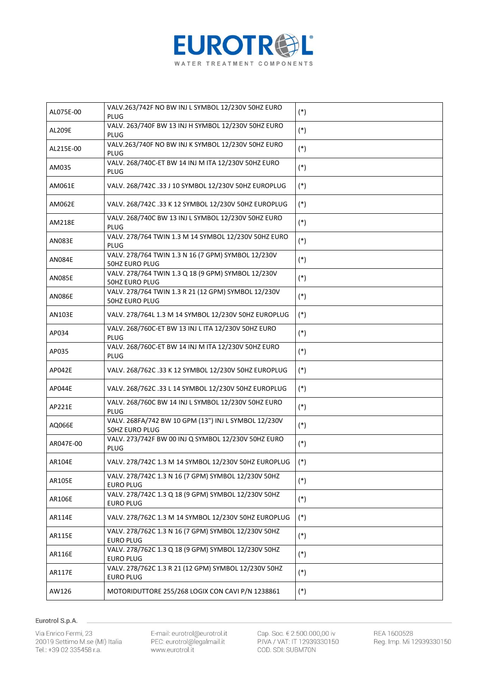

| AL075E-00     | VALV.263/742F NO BW INJ L SYMBOL 12/230V 50HZ EURO<br>PLUG                    | $(*)$ |
|---------------|-------------------------------------------------------------------------------|-------|
| <b>AL209E</b> | VALV. 263/740F BW 13 INJ H SYMBOL 12/230V 50HZ EURO<br><b>PLUG</b>            | $(*)$ |
| AL215E-00     | VALV.263/740F NO BW INJ K SYMBOL 12/230V 50HZ EURO<br>PLUG                    | $(*)$ |
| AM035         | VALV. 268/740C-ET BW 14 INJ M ITA 12/230V 50HZ EURO<br><b>PLUG</b>            | $(*)$ |
| AM061E        | VALV. 268/742C .33 J 10 SYMBOL 12/230V 50HZ EUROPLUG                          | $(*)$ |
| AM062E        | VALV. 268/742C .33 K 12 SYMBOL 12/230V 50HZ EUROPLUG                          | $(*)$ |
| AM218E        | VALV. 268/740C BW 13 INJ L SYMBOL 12/230V 50HZ EURO<br><b>PLUG</b>            | $(*)$ |
| AN083E        | VALV. 278/764 TWIN 1.3 M 14 SYMBOL 12/230V 50HZ EURO<br><b>PLUG</b>           | $(*)$ |
| <b>AN084E</b> | VALV. 278/764 TWIN 1.3 N 16 (7 GPM) SYMBOL 12/230V<br><b>50HZ EURO PLUG</b>   | $(*)$ |
| <b>AN085E</b> | VALV. 278/764 TWIN 1.3 Q 18 (9 GPM) SYMBOL 12/230V<br>50HZ EURO PLUG          | $(*)$ |
| <b>AN086E</b> | VALV. 278/764 TWIN 1.3 R 21 (12 GPM) SYMBOL 12/230V<br>50HZ EURO PLUG         | $(*)$ |
| <b>AN103E</b> | VALV. 278/764L 1.3 M 14 SYMBOL 12/230V 50HZ EUROPLUG                          | $(*)$ |
| AP034         | VALV. 268/760C-ET BW 13 INJ L ITA 12/230V 50HZ EURO<br>PLUG                   | $(*)$ |
| AP035         | VALV. 268/760C-ET BW 14 INJ M ITA 12/230V 50HZ EURO<br>PLUG                   | $(*)$ |
| AP042E        | VALV. 268/762C .33 K 12 SYMBOL 12/230V 50HZ EUROPLUG                          | $(*)$ |
| AP044E        | VALV. 268/762C .33 L 14 SYMBOL 12/230V 50HZ EUROPLUG                          | $(*)$ |
| AP221E        | VALV. 268/760C BW 14 INJ L SYMBOL 12/230V 50HZ EURO<br><b>PLUG</b>            | $(*)$ |
| AQ066E        | VALV. 268FA/742 BW 10 GPM (13") INJ L SYMBOL 12/230V<br><b>50HZ EURO PLUG</b> | $(*)$ |
| AR047E-00     | VALV. 273/742F BW 00 INJ Q SYMBOL 12/230V 50HZ EURO<br>PLUG                   | $(*)$ |
| AR104E        | VALV. 278/742C 1.3 M 14 SYMBOL 12/230V 50HZ EUROPLUG                          | $(*)$ |
| <b>AR105E</b> | VALV. 278/742C 1.3 N 16 (7 GPM) SYMBOL 12/230V 50HZ<br><b>EURO PLUG</b>       | $(*)$ |
| AR106E        | VALV. 278/742C 1.3 Q 18 (9 GPM) SYMBOL 12/230V 50HZ<br><b>EURO PLUG</b>       | $(*)$ |
| AR114E        | VALV. 278/762C 1.3 M 14 SYMBOL 12/230V 50HZ EUROPLUG                          | $(*)$ |
| AR115E        | VALV. 278/762C 1.3 N 16 (7 GPM) SYMBOL 12/230V 50HZ<br><b>EURO PLUG</b>       | $(*)$ |
| AR116E        | VALV. 278/762C 1.3 Q 18 (9 GPM) SYMBOL 12/230V 50HZ<br><b>EURO PLUG</b>       | $(*)$ |
| AR117E        | VALV. 278/762C 1.3 R 21 (12 GPM) SYMBOL 12/230V 50HZ<br><b>EURO PLUG</b>      | $(*)$ |
| AW126         | MOTORIDUTTORE 255/268 LOGIX CON CAVI P/N 1238861                              | $(*)$ |

Via Enrico Fermi, 23 20019 Settimo M.se (MI) Italia Tel.: +39 02 335458 r.a.

E-mail: eurotrol@eurotrol.it<br>PEC: eurotrol@legalmail.it www.eurotrol.it

Cap. Soc. € 2.500.000,00 iv<br>P.IVA / VAT: IT 12939330150 COD. SDI: SUBM70N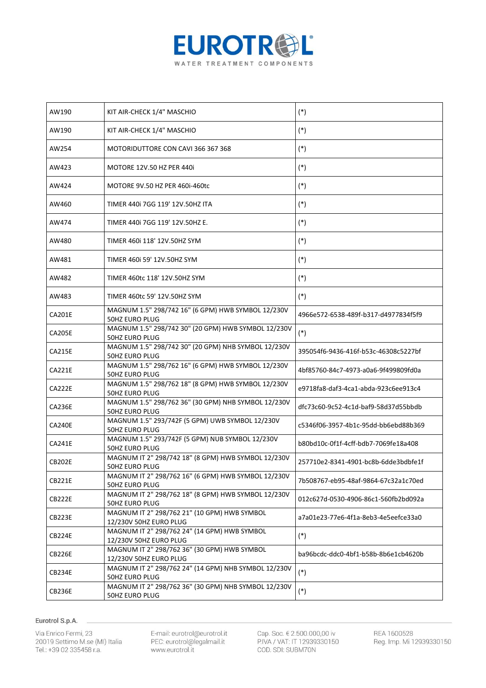

| AW190         | KIT AIR-CHECK 1/4" MASCHIO                                                   | $(*)$                                |
|---------------|------------------------------------------------------------------------------|--------------------------------------|
| AW190         | KIT AIR-CHECK 1/4" MASCHIO                                                   | $(*)$                                |
| AW254         | MOTORIDUTTORE CON CAVI 366 367 368                                           | $(*)$                                |
| AW423         | MOTORE 12V.50 HZ PER 440i                                                    | $(*)$                                |
| AW424         | MOTORE 9V.50 HZ PER 460i-460tc                                               | $(*)$                                |
| AW460         | TIMER 440i 7GG 119' 12V.50HZ ITA                                             | $(*)$                                |
| AW474         | TIMER 440i 7GG 119' 12V.50HZ E.                                              | $(*)$                                |
| AW480         | TIMER 460i 118' 12V.50HZ SYM                                                 | $(*)$                                |
| AW481         | TIMER 460i 59' 12V.50HZ SYM                                                  | $(*)$                                |
| AW482         | TIMER 460tc 118' 12V.50HZ SYM                                                | $(*)$                                |
| AW483         | TIMER 460tc 59' 12V.50HZ SYM                                                 | $(*)$                                |
| <b>CA201E</b> | MAGNUM 1.5" 298/742 16" (6 GPM) HWB SYMBOL 12/230V<br>50HZ EURO PLUG         | 4966e572-6538-489f-b317-d4977834f5f9 |
| <b>CA205E</b> | MAGNUM 1.5" 298/742 30" (20 GPM) HWB SYMBOL 12/230V<br><b>50HZ EURO PLUG</b> | $(*)$                                |
| <b>CA215E</b> | MAGNUM 1.5" 298/742 30" (20 GPM) NHB SYMBOL 12/230V<br><b>50HZ EURO PLUG</b> | 395054f6-9436-416f-b53c-46308c5227bf |
| <b>CA221E</b> | MAGNUM 1.5" 298/762 16" (6 GPM) HWB SYMBOL 12/230V<br><b>50HZ EURO PLUG</b>  | 4bf85760-84c7-4973-a0a6-9f499809fd0a |
| <b>CA222E</b> | MAGNUM 1.5" 298/762 18" (8 GPM) HWB SYMBOL 12/230V<br><b>50HZ EURO PLUG</b>  | e9718fa8-daf3-4ca1-abda-923c6ee913c4 |
| <b>CA236E</b> | MAGNUM 1.5" 298/762 36" (30 GPM) NHB SYMBOL 12/230V<br><b>50HZ EURO PLUG</b> | dfc73c60-9c52-4c1d-baf9-58d37d55bbdb |
| <b>CA240E</b> | MAGNUM 1.5" 293/742F (5 GPM) UWB SYMBOL 12/230V<br><b>50HZ EURO PLUG</b>     | c5346f06-3957-4b1c-95dd-bb6ebd88b369 |
| <b>CA241E</b> | MAGNUM 1.5" 293/742F (5 GPM) NUB SYMBOL 12/230V<br><b>50HZ EURO PLUG</b>     | b80bd10c-0f1f-4cff-bdb7-7069fe18a408 |
| <b>CB202E</b> | MAGNUM IT 2" 298/742 18" (8 GPM) HWB SYMBOL 12/230V<br><b>50HZ EURO PLUG</b> | 257710e2-8341-4901-bc8b-6dde3bdbfe1f |
| <b>CB221E</b> | MAGNUM IT 2" 298/762 16" (6 GPM) HWB SYMBOL 12/230V<br><b>50HZ EURO PLUG</b> | 7b508767-eb95-48af-9864-67c32a1c70ed |
| <b>CB222E</b> | MAGNUM IT 2" 298/762 18" (8 GPM) HWB SYMBOL 12/230V<br>50HZ EURO PLUG        | 012c627d-0530-4906-86c1-560fb2bd092a |
| <b>CB223E</b> | MAGNUM IT 2" 298/762 21" (10 GPM) HWB SYMBOL<br>12/230V 50HZ EURO PLUG       | a7a01e23-77e6-4f1a-8eb3-4e5eefce33a0 |
| <b>CB224E</b> | MAGNUM IT 2" 298/762 24" (14 GPM) HWB SYMBOL<br>12/230V 50HZ EURO PLUG       | $(*)$                                |
| <b>CB226E</b> | MAGNUM IT 2" 298/762 36" (30 GPM) HWB SYMBOL<br>12/230V 50HZ EURO PLUG       | ba96bcdc-ddc0-4bf1-b58b-8b6e1cb4620b |
| CB234E        | MAGNUM IT 2" 298/762 24" (14 GPM) NHB SYMBOL 12/230V<br>50HZ EURO PLUG       | $(*)$                                |
| CB236E        | MAGNUM IT 2" 298/762 36" (30 GPM) NHB SYMBOL 12/230V<br>50HZ EURO PLUG       | $(*)$                                |

Via Enrico Fermi, 23 20019 Settimo M.se (MI) Italia Tel.: +39 02 335458 r.a.

E-mail: eurotrol@eurotrol.it<br>PEC: eurotrol@legalmail.it www.eurotrol.it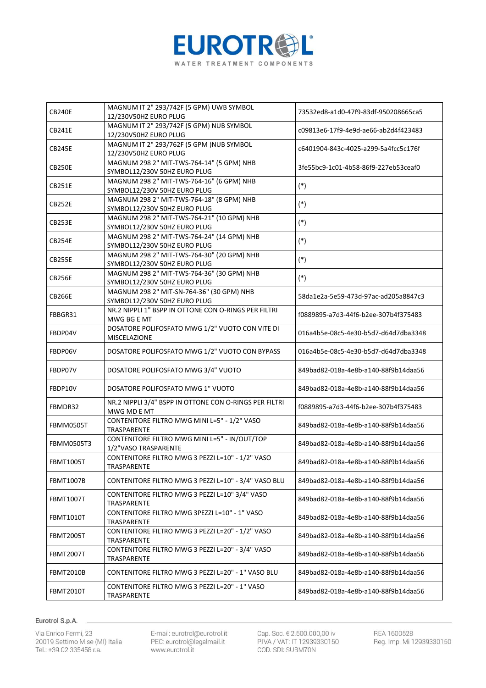

| <b>CB240E</b>    | MAGNUM IT 2" 293/742F (5 GPM) UWB SYMBOL<br>12/230V50HZ EURO PLUG          | 73532ed8-a1d0-47f9-83df-950208665ca5 |
|------------------|----------------------------------------------------------------------------|--------------------------------------|
| <b>CB241E</b>    | MAGNUM IT 2" 293/742F (5 GPM) NUB SYMBOL<br>12/230V50HZ EURO PLUG          | c09813e6-17f9-4e9d-ae66-ab2d4f423483 |
| <b>CB245E</b>    | MAGNUM IT 2" 293/762F (5 GPM )NUB SYMBOL<br>12/230V50HZ EURO PLUG          | c6401904-843c-4025-a299-5a4fcc5c176f |
| <b>CB250E</b>    | MAGNUM 298 2" MIT-TWS-764-14" (5 GPM) NHB<br>SYMBOL12/230V 50HZ EURO PLUG  | 3fe55bc9-1c01-4b58-86f9-227eb53ceaf0 |
| <b>CB251E</b>    | MAGNUM 298 2" MIT-TWS-764-16" (6 GPM) NHB<br>SYMBOL12/230V 50HZ EURO PLUG  | $(*)$                                |
| <b>CB252E</b>    | MAGNUM 298 2" MIT-TWS-764-18" (8 GPM) NHB<br>SYMBOL12/230V 50HZ EURO PLUG  | $(*)$                                |
| <b>CB253E</b>    | MAGNUM 298 2" MIT-TWS-764-21" (10 GPM) NHB<br>SYMBOL12/230V 50HZ EURO PLUG | $(*)$                                |
| <b>CB254E</b>    | MAGNUM 298 2" MIT-TWS-764-24" (14 GPM) NHB<br>SYMBOL12/230V 50HZ EURO PLUG | $(*)$                                |
| <b>CB255E</b>    | MAGNUM 298 2" MIT-TWS-764-30" (20 GPM) NHB<br>SYMBOL12/230V 50HZ EURO PLUG | $(*)$                                |
| <b>CB256E</b>    | MAGNUM 298 2" MIT-TWS-764-36" (30 GPM) NHB<br>SYMBOL12/230V 50HZ EURO PLUG | $(*)$                                |
| <b>CB266E</b>    | MAGNUM 298 2" MIT-SN-764-36" (30 GPM) NHB<br>SYMBOL12/230V 50HZ EURO PLUG  | 58da1e2a-5e59-473d-97ac-ad205a8847c3 |
| FBBGR31          | NR.2 NIPPLI 1" BSPP IN OTTONE CON O-RINGS PER FILTRI<br>MWG BG E MT        | f0889895-a7d3-44f6-b2ee-307b4f375483 |
| FBDP04V          | DOSATORE POLIFOSFATO MWG 1/2" VUOTO CON VITE DI<br>MISCELAZIONE            | 016a4b5e-08c5-4e30-b5d7-d64d7dba3348 |
| FBDP06V          | DOSATORE POLIFOSFATO MWG 1/2" VUOTO CON BYPASS                             | 016a4b5e-08c5-4e30-b5d7-d64d7dba3348 |
| FBDP07V          | DOSATORE POLIFOSFATO MWG 3/4" VUOTO                                        | 849bad82-018a-4e8b-a140-88f9b14daa56 |
| FBDP10V          | DOSATORE POLIFOSFATO MWG 1" VUOTO                                          | 849bad82-018a-4e8b-a140-88f9b14daa56 |
| FBMDR32          | NR.2 NIPPLI 3/4" BSPP IN OTTONE CON O-RINGS PER FILTRI<br>MWG MD E MT      | f0889895-a7d3-44f6-b2ee-307b4f375483 |
| FBMM0505T        | CONTENITORE FILTRO MWG MINI L=5" - 1/2" VASO<br>TRASPARENTE                | 849bad82-018a-4e8b-a140-88f9b14daa56 |
| FBMM0505T3       | CONTENITORE FILTRO MWG MINI L=5" - IN/OUT/TOP<br>1/2"VASO TRASPARENTE      | 849bad82-018a-4e8b-a140-88f9b14daa56 |
| <b>FBMT1005T</b> | CONTENITORE FILTRO MWG 3 PEZZI L=10" - 1/2" VASO<br>TRASPARENTE            | 849bad82-018a-4e8b-a140-88f9b14daa56 |
| <b>FBMT1007B</b> | CONTENITORE FILTRO MWG 3 PEZZI L=10" - 3/4" VASO BLU                       | 849bad82-018a-4e8b-a140-88f9b14daa56 |
| <b>FBMT1007T</b> | CONTENITORE FILTRO MWG 3 PEZZI L=10" 3/4" VASO<br><b>TRASPARENTE</b>       | 849bad82-018a-4e8b-a140-88f9b14daa56 |
| FBMT1010T        | CONTENITORE FILTRO MWG 3PEZZI L=10" - 1" VASO<br>TRASPARENTE               | 849bad82-018a-4e8b-a140-88f9b14daa56 |
| FBMT2005T        | CONTENITORE FILTRO MWG 3 PEZZI L=20" - 1/2" VASO<br>TRASPARENTE            | 849bad82-018a-4e8b-a140-88f9b14daa56 |
| <b>FBMT2007T</b> | CONTENITORE FILTRO MWG 3 PEZZI L=20" - 3/4" VASO<br>TRASPARENTE            | 849bad82-018a-4e8b-a140-88f9b14daa56 |
| FBMT2010B        | CONTENITORE FILTRO MWG 3 PEZZI L=20" - 1" VASO BLU                         | 849bad82-018a-4e8b-a140-88f9b14daa56 |
| <b>FBMT2010T</b> | CONTENITORE FILTRO MWG 3 PEZZI L=20" - 1" VASO<br>TRASPARENTE              | 849bad82-018a-4e8b-a140-88f9b14daa56 |

Via Enrico Fermi, 23 20019 Settimo M.se (MI) Italia Tel.: +39 02 335458 r.a.

E-mail: eurotrol@eurotrol.it<br>PEC: eurotrol@legalmail.it www.eurotrol.it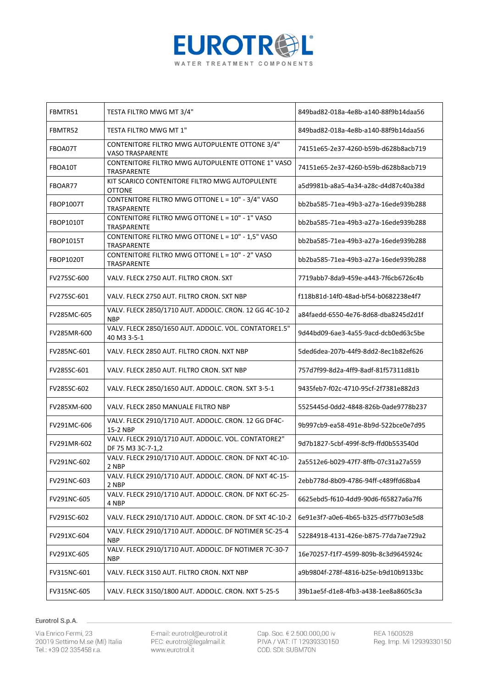

| FBMTR51          | TESTA FILTRO MWG MT 3/4"                                                  | 849bad82-018a-4e8b-a140-88f9b14daa56 |
|------------------|---------------------------------------------------------------------------|--------------------------------------|
| FBMTR52          | TESTA FILTRO MWG MT 1"                                                    | 849bad82-018a-4e8b-a140-88f9b14daa56 |
| FBOA07T          | CONTENITORE FILTRO MWG AUTOPULENTE OTTONE 3/4"<br><b>VASO TRASPARENTE</b> | 74151e65-2e37-4260-b59b-d628b8acb719 |
| FBOA10T          | CONTENITORE FILTRO MWG AUTOPULENTE OTTONE 1" VASO<br>TRASPARENTE          | 74151e65-2e37-4260-b59b-d628b8acb719 |
| FBOAR77          | KIT SCARICO CONTENITORE FILTRO MWG AUTOPULENTE<br><b>OTTONE</b>           | a5d9981b-a8a5-4a34-a28c-d4d87c40a38d |
| FBOP1007T        | CONTENITORE FILTRO MWG OTTONE L = 10" - 3/4" VASO<br>TRASPARENTE          | bb2ba585-71ea-49b3-a27a-16ede939b288 |
| <b>FBOP1010T</b> | CONTENITORE FILTRO MWG OTTONE L = 10" - 1" VASO<br>TRASPARENTE            | bb2ba585-71ea-49b3-a27a-16ede939b288 |
| <b>FBOP1015T</b> | CONTENITORE FILTRO MWG OTTONE L = 10" - 1,5" VASO<br>TRASPARENTE          | bb2ba585-71ea-49b3-a27a-16ede939b288 |
| <b>FBOP1020T</b> | CONTENITORE FILTRO MWG OTTONE L = 10" - 2" VASO<br>TRASPARENTE            | bb2ba585-71ea-49b3-a27a-16ede939b288 |
| FV275SC-600      | VALV. FLECK 2750 AUT. FILTRO CRON. SXT                                    | 7719abb7-8da9-459e-a443-7f6cb6726c4b |
| FV275SC-601      | VALV. FLECK 2750 AUT. FILTRO CRON. SXT NBP                                | f118b81d-14f0-48ad-bf54-b0682238e4f7 |
| FV285MC-605      | VALV. FLECK 2850/1710 AUT. ADDOLC. CRON. 12 GG 4C-10-2<br><b>NBP</b>      | a84faedd-6550-4e76-8d68-dba8245d2d1f |
| FV285MR-600      | VALV. FLECK 2850/1650 AUT. ADDOLC. VOL. CONTATORE1.5"<br>40 M3 3-5-1      | 9d44bd09-6ae3-4a55-9acd-dcb0ed63c5be |
| FV285NC-601      | VALV. FLECK 2850 AUT. FILTRO CRON. NXT NBP                                | 5ded6dea-207b-44f9-8dd2-8ec1b82ef626 |
| FV285SC-601      | VALV. FLECK 2850 AUT. FILTRO CRON. SXT NBP                                | 757d7f99-8d2a-4ff9-8adf-81f57311d81b |
| FV285SC-602      | VALV. FLECK 2850/1650 AUT. ADDOLC. CRON. SXT 3-5-1                        | 9435feb7-f02c-4710-95cf-2f7381e882d3 |
| FV285XM-600      | VALV. FLECK 2850 MANUALE FILTRO NBP                                       | 5525445d-0dd2-4848-826b-0ade9778b237 |
| FV291MC-606      | VALV. FLECK 2910/1710 AUT. ADDOLC. CRON. 12 GG DF4C-<br>15-2 NBP          | 9b997cb9-ea58-491e-8b9d-522bce0e7d95 |
| FV291MR-602      | VALV. FLECK 2910/1710 AUT. ADDOLC. VOL. CONTATORE2"<br>DF 75 M3 3C-7-1,2  | 9d7b1827-5cbf-499f-8cf9-ffd0b553540d |
| FV291NC-602      | VALV. FLECK 2910/1710 AUT. ADDOLC. CRON. DF NXT 4C-10-<br>2 NBP           | 2a5512e6-b029-47f7-8ffb-07c31a27a559 |
| FV291NC-603      | VALV. FLECK 2910/1710 AUT. ADDOLC. CRON. DF NXT 4C-15-<br>2 NBP           | 2ebb778d-8b09-4786-94ff-c489ffd68ba4 |
| FV291NC-605      | VALV. FLECK 2910/1710 AUT. ADDOLC. CRON. DF NXT 6C-25-<br>4 NBP           | 6625ebd5-f610-4dd9-90d6-f65827a6a7f6 |
| FV291SC-602      | VALV. FLECK 2910/1710 AUT. ADDOLC. CRON. DF SXT 4C-10-2                   | 6e91e3f7-a0e6-4b65-b325-d5f77b03e5d8 |
| FV291XC-604      | VALV. FLECK 2910/1710 AUT. ADDOLC. DF NOTIMER 5C-25-4<br><b>NBP</b>       | 52284918-4131-426e-b875-77da7ae729a2 |
| FV291XC-605      | VALV. FLECK 2910/1710 AUT. ADDOLC. DF NOTIMER 7C-30-7<br>NBP              | 16e70257-f1f7-4599-809b-8c3d9645924c |
| FV315NC-601      | VALV. FLECK 3150 AUT. FILTRO CRON. NXT NBP                                | a9b9804f-278f-4816-b25e-b9d10b9133bc |
| FV315NC-605      | VALV. FLECK 3150/1800 AUT. ADDOLC. CRON. NXT 5-25-5                       | 39b1ae5f-d1e8-4fb3-a438-1ee8a8605c3a |

Via Enrico Fermi, 23 20019 Settimo M.se (MI) Italia Tel.: +39 02 335458 r.a.

E-mail: eurotrol@eurotrol.it<br>PEC: eurotrol@legalmail.it www.eurotrol.it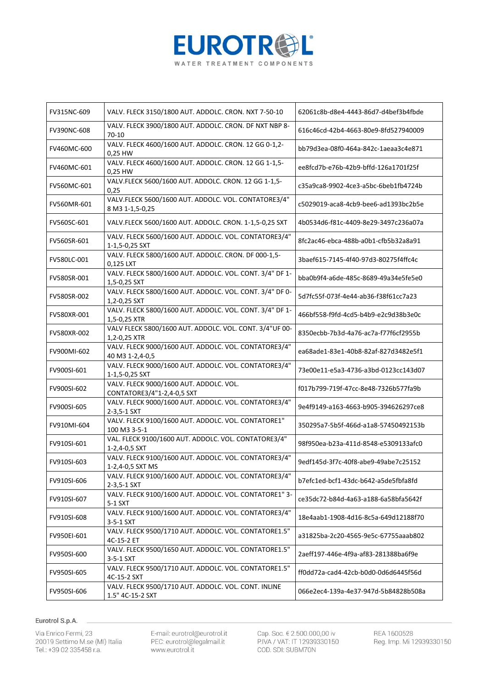

| FV315NC-609        | VALV. FLECK 3150/1800 AUT. ADDOLC. CRON. NXT 7-50-10                      | 62061c8b-d8e4-4443-86d7-d4bef3b4fbde |
|--------------------|---------------------------------------------------------------------------|--------------------------------------|
| <b>FV390NC-608</b> | VALV. FLECK 3900/1800 AUT. ADDOLC. CRON. DF NXT NBP 8-<br>$70-10$         | 616c46cd-42b4-4663-80e9-8fd527940009 |
| FV460MC-600        | VALV. FLECK 4600/1600 AUT. ADDOLC. CRON. 12 GG 0-1,2-<br>0,25 HW          | bb79d3ea-08f0-464a-842c-1aeaa3c4e871 |
| FV460MC-601        | VALV. FLECK 4600/1600 AUT. ADDOLC. CRON. 12 GG 1-1,5-<br>0,25 HW          | ee8fcd7b-e76b-42b9-bffd-126a1701f25f |
| FV560MC-601        | VALV.FLECK 5600/1600 AUT. ADDOLC. CRON. 12 GG 1-1,5-<br>0,25              | c35a9ca8-9902-4ce3-a5bc-6beb1fb4724b |
| FV560MR-601        | VALV.FLECK 5600/1600 AUT. ADDOLC. VOL. CONTATORE3/4"<br>8 M3 1-1,5-0,25   | c5029019-aca8-4cb9-bee6-ad1393bc2b5e |
| FV560SC-601        | VALV.FLECK 5600/1600 AUT. ADDOLC. CRON. 1-1,5-0,25 SXT                    | 4b0534d6-f81c-4409-8e29-3497c236a07a |
| FV560SR-601        | VALV. FLECK 5600/1600 AUT. ADDOLC. VOL. CONTATORE3/4"<br>1-1,5-0,25 SXT   | 8fc2ac46-ebca-488b-a0b1-cfb5b32a8a91 |
| FV580LC-001        | VALV. FLECK 5800/1600 AUT. ADDOLC. CRON. DF 000-1,5-<br>0,125 LXT         | 3baef615-7145-4f40-97d3-80275f4ffc4c |
| FV580SR-001        | VALV. FLECK 5800/1600 AUT. ADDOLC. VOL. CONT. 3/4" DF 1-<br>1,5-0,25 SXT  | bba0b9f4-a6de-485c-8689-49a34e5fe5e0 |
| FV580SR-002        | VALV. FLECK 5800/1600 AUT. ADDOLC. VOL. CONT. 3/4" DF 0-<br>1,2-0,25 SXT  | 5d7fc55f-073f-4e44-ab36-f38f61cc7a23 |
| FV580XR-001        | VALV. FLECK 5800/1600 AUT. ADDOLC. VOL. CONT. 3/4" DF 1-<br>1,5-0,25 XTR  | 466bf558-f9fd-4cd5-b4b9-e2c9d38b3e0c |
| FV580XR-002        | VALV FLECK 5800/1600 AUT. ADDOLC. VOL. CONT. 3/4"UF 00-<br>1,2-0,25 XTR   | 8350ecbb-7b3d-4a76-ac7a-f77f6cf2955b |
| FV900MI-602        | VALV. FLECK 9000/1600 AUT. ADDOLC. VOL. CONTATORE3/4"<br>40 M3 1-2,4-0,5  | ea68ade1-83e1-40b8-82af-827d3482e5f1 |
| FV900SI-601        | VALV. FLECK 9000/1600 AUT. ADDOLC. VOL. CONTATORE3/4"<br>1-1,5-0,25 SXT   | 73e00e11-e5a3-4736-a3bd-0123cc143d07 |
| FV900SI-602        | VALV. FLECK 9000/1600 AUT. ADDOLC. VOL.<br>CONTATORE3/4"1-2,4-0,5 SXT     | f017b799-719f-47cc-8e48-7326b577fa9b |
| FV900SI-605        | VALV. FLECK 9000/1600 AUT. ADDOLC. VOL. CONTATORE3/4"<br>2-3,5-1 SXT      | 9e4f9149-a163-4663-b905-394626297ce8 |
| FV910MI-604        | VALV. FLECK 9100/1600 AUT. ADDOLC. VOL. CONTATORE1"<br>100 M3 3-5-1       | 350295a7-5b5f-466d-a1a8-57450492153b |
| FV910SI-601        | VAL. FLECK 9100/1600 AUT. ADDOLC. VOL. CONTATORE3/4"<br>1-2,4-0,5 SXT     | 98f950ea-b23a-411d-8548-e5309133afc0 |
| FV910SI-603        | VALV. FLECK 9100/1600 AUT. ADDOLC. VOL. CONTATORE3/4"<br>1-2,4-0,5 SXT MS | 9edf145d-3f7c-40f8-abe9-49abe7c25152 |
| FV910SI-606        | VALV. FLECK 9100/1600 AUT. ADDOLC. VOL. CONTATORE3/4"<br>2-3,5-1 SXT      | b7efc1ed-bcf1-43dc-b642-a5de5fbfa8fd |
| FV910SI-607        | VALV. FLECK 9100/1600 AUT. ADDOLC. VOL. CONTATORE1" 3-<br>5-1 SXT         | ce35dc72-b84d-4a63-a188-6a58bfa5642f |
| FV910SI-608        | VALV. FLECK 9100/1600 AUT. ADDOLC. VOL. CONTATORE3/4"<br>3-5-1 SXT        | 18e4aab1-1908-4d16-8c5a-649d12188f70 |
| FV950EI-601        | VALV. FLECK 9500/1710 AUT. ADDOLC. VOL. CONTATORE1.5"<br>4C-15-2 ET       | a31825ba-2c20-4565-9e5c-67755aaab802 |
| FV950SI-600        | VALV. FLECK 9500/1650 AUT. ADDOLC. VOL. CONTATORE1.5"<br>3-5-1 SXT        | 2aeff197-446e-4f9a-af83-281388ba6f9e |
| FV950SI-605        | VALV. FLECK 9500/1710 AUT. ADDOLC. VOL. CONTATORE1.5"<br>4C-15-2 SXT      | ff0dd72a-cad4-42cb-b0d0-0d6d6445f56d |
| FV950SI-606        | VALV. FLECK 9500/1710 AUT. ADDOLC. VOL. CONT. INLINE<br>1.5" 4C-15-2 SXT  | 066e2ec4-139a-4e37-947d-5b84828b508a |

Via Enrico Fermi, 23 20019 Settimo M.se (MI) Italia Tel.: +39 02 335458 r.a.

E-mail: eurotrol@eurotrol.it<br>PEC: eurotrol@legalmail.it www.eurotrol.it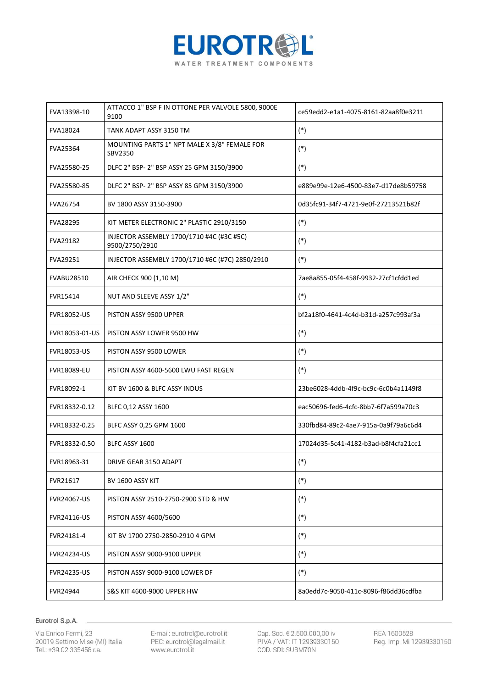

| FVA13398-10        | ATTACCO 1" BSP F IN OTTONE PER VALVOLE 5800, 9000E<br>9100  | ce59edd2-e1a1-4075-8161-82aa8f0e3211 |
|--------------------|-------------------------------------------------------------|--------------------------------------|
| FVA18024           | TANK ADAPT ASSY 3150 TM                                     | $(*)$                                |
| <b>FVA25364</b>    | MOUNTING PARTS 1" NPT MALE X 3/8" FEMALE FOR<br>SBV2350     | $(*)$                                |
| FVA25580-25        | DLFC 2" BSP- 2" BSP ASSY 25 GPM 3150/3900                   | $(*)$                                |
| FVA25580-85        | DLFC 2" BSP- 2" BSP ASSY 85 GPM 3150/3900                   | e889e99e-12e6-4500-83e7-d17de8b59758 |
| <b>FVA26754</b>    | BV 1800 ASSY 3150-3900                                      | 0d35fc91-34f7-4721-9e0f-27213521b82f |
| <b>FVA28295</b>    | KIT METER ELECTRONIC 2" PLASTIC 2910/3150                   | $(*)$                                |
| <b>FVA29182</b>    | INJECTOR ASSEMBLY 1700/1710 #4C (#3C #5C)<br>9500/2750/2910 | $(*)$                                |
| FVA29251           | INJECTOR ASSEMBLY 1700/1710 #6C (#7C) 2850/2910             | $(*)$                                |
| <b>FVABU28510</b>  | AIR CHECK 900 (1,10 M)                                      | 7ae8a855-05f4-458f-9932-27cf1cfdd1ed |
| FVR15414           | NUT AND SLEEVE ASSY 1/2"                                    | $(*)$                                |
| <b>FVR18052-US</b> | PISTON ASSY 9500 UPPER                                      | bf2a18f0-4641-4c4d-b31d-a257c993af3a |
| FVR18053-01-US     | PISTON ASSY LOWER 9500 HW                                   | $(*)$                                |
| <b>FVR18053-US</b> | PISTON ASSY 9500 LOWER                                      | $(*)$                                |
| <b>FVR18089-EU</b> | PISTON ASSY 4600-5600 LWU FAST REGEN                        | $(*)$                                |
| FVR18092-1         | KIT BV 1600 & BLFC ASSY INDUS                               | 23be6028-4ddb-4f9c-bc9c-6c0b4a1149f8 |
| FVR18332-0.12      | BLFC 0,12 ASSY 1600                                         | eac50696-fed6-4cfc-8bb7-6f7a599a70c3 |
| FVR18332-0.25      | BLFC ASSY 0,25 GPM 1600                                     | 330fbd84-89c2-4ae7-915a-0a9f79a6c6d4 |
| FVR18332-0.50      | BLFC ASSY 1600                                              | 17024d35-5c41-4182-b3ad-b8f4cfa21cc1 |
| FVR18963-31        | DRIVE GEAR 3150 ADAPT                                       | $(*)$                                |
| FVR21617           | BV 1600 ASSY KIT                                            | $(*)$                                |
| <b>FVR24067-US</b> | PISTON ASSY 2510-2750-2900 STD & HW                         | $(*)$                                |
| <b>FVR24116-US</b> | PISTON ASSY 4600/5600                                       | $(*)$                                |
| FVR24181-4         | KIT BV 1700 2750-2850-2910 4 GPM                            | $(*)$                                |
| <b>FVR24234-US</b> | PISTON ASSY 9000-9100 UPPER                                 | $(*)$                                |
| <b>FVR24235-US</b> | PISTON ASSY 9000-9100 LOWER DF                              | $(*)$                                |
| <b>FVR24944</b>    | S&S KIT 4600-9000 UPPER HW                                  | 8a0edd7c-9050-411c-8096-f86dd36cdfba |

Via Enrico Fermi, 23 20019 Settimo M.se (MI) Italia Tel.: +39 02 335458 r.a.

E-mail: eurotrol@eurotrol.it<br>PEC: eurotrol@legalmail.it www.eurotrol.it

Cap. Soc. € 2.500.000,00 iv<br>P.IVA / VAT: IT 12939330150 COD. SDI: SUBM70N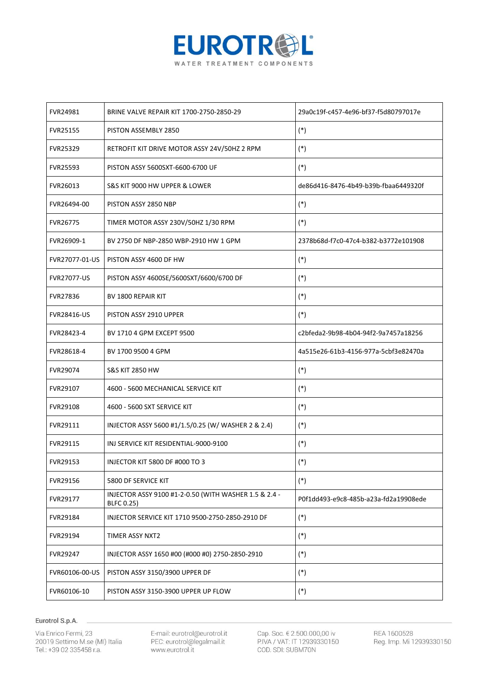

| <b>FVR24981</b>    | BRINE VALVE REPAIR KIT 1700-2750-2850-29                                   | 29a0c19f-c457-4e96-bf37-f5d80797017e  |
|--------------------|----------------------------------------------------------------------------|---------------------------------------|
| <b>FVR25155</b>    | PISTON ASSEMBLY 2850                                                       | $(*)$                                 |
| <b>FVR25329</b>    | RETROFIT KIT DRIVE MOTOR ASSY 24V/50HZ 2 RPM                               | $(*)$                                 |
| <b>FVR25593</b>    | PISTON ASSY 5600SXT-6600-6700 UF                                           | $(*)$                                 |
| FVR26013           | S&S KIT 9000 HW UPPER & LOWER                                              | de86d416-8476-4b49-b39b-fbaa6449320f  |
| FVR26494-00        | PISTON ASSY 2850 NBP                                                       | $(*)$                                 |
| <b>FVR26775</b>    | TIMER MOTOR ASSY 230V/50HZ 1/30 RPM                                        | $(*)$                                 |
| FVR26909-1         | BV 2750 DF NBP-2850 WBP-2910 HW 1 GPM                                      | 2378b68d-f7c0-47c4-b382-b3772e101908  |
| FVR27077-01-US     | PISTON ASSY 4600 DF HW                                                     | $(*)$                                 |
| <b>FVR27077-US</b> | PISTON ASSY 4600SE/5600SXT/6600/6700 DF                                    | $(*)$                                 |
| <b>FVR27836</b>    | BV 1800 REPAIR KIT                                                         | $(*)$                                 |
| <b>FVR28416-US</b> | PISTON ASSY 2910 UPPER                                                     | $(*)$                                 |
| FVR28423-4         | BV 1710 4 GPM EXCEPT 9500                                                  | c2bfeda2-9b98-4b04-94f2-9a7457a18256  |
| FVR28618-4         | BV 1700 9500 4 GPM                                                         | 4a515e26-61b3-4156-977a-5cbf3e82470a  |
| FVR29074           | <b>S&amp;S KIT 2850 HW</b>                                                 | $(*)$                                 |
| FVR29107           | 4600 - 5600 MECHANICAL SERVICE KIT                                         | $(*)$                                 |
| <b>FVR29108</b>    | 4600 - 5600 SXT SERVICE KIT                                                | $(*)$                                 |
| FVR29111           | INJECTOR ASSY 5600 #1/1.5/0.25 (W/ WASHER 2 & 2.4)                         | $(*)$                                 |
| FVR29115           | INJ SERVICE KIT RESIDENTIAL-9000-9100                                      | $(*)$                                 |
| FVR29153           | <b>INJECTOR KIT 5800 DF #000 TO 3</b>                                      | $(*)$                                 |
| FVR29156           | 5800 DF SERVICE KIT                                                        | $(*)$                                 |
| FVR29177           | INJECTOR ASSY 9100 #1-2-0.50 (WITH WASHER 1.5 & 2.4 -<br><b>BLFC 0.25)</b> | P0f1dd493-e9c8-485b-a23a-fd2a19908ede |
| FVR29184           | INJECTOR SERVICE KIT 1710 9500-2750-2850-2910 DF                           | $(*)$                                 |
| FVR29194           | TIMER ASSY NXT2                                                            | $(*)$                                 |
| <b>FVR29247</b>    | INJECTOR ASSY 1650 #00 (#000 #0) 2750-2850-2910                            | $(*)$                                 |
| FVR60106-00-US     | PISTON ASSY 3150/3900 UPPER DF                                             | $(*)$                                 |
| FVR60106-10        | PISTON ASSY 3150-3900 UPPER UP FLOW                                        | $(*)$                                 |

Via Enrico Fermi, 23 20019 Settimo M.se (MI) Italia Tel.: +39 02 335458 r.a.

E-mail: eurotrol@eurotrol.it<br>PEC: eurotrol@legalmail.it www.eurotrol.it

Cap. Soc. € 2.500.000,00 iv<br>P.IVA / VAT: IT 12939330150 COD. SDI: SUBM70N